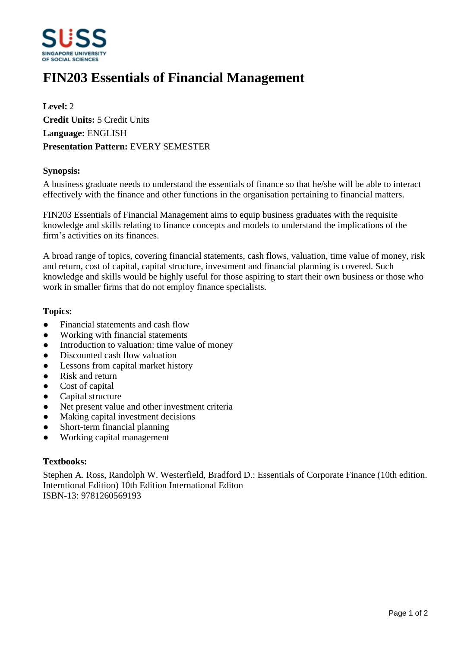

# **FIN203 Essentials of Financial Management**

**Level:** 2 **Credit Units:** 5 Credit Units **Language:** ENGLISH **Presentation Pattern:** EVERY SEMESTER

## **Synopsis:**

A business graduate needs to understand the essentials of finance so that he/she will be able to interact effectively with the finance and other functions in the organisation pertaining to financial matters.

FIN203 Essentials of Financial Management aims to equip business graduates with the requisite knowledge and skills relating to finance concepts and models to understand the implications of the firm's activities on its finances.

A broad range of topics, covering financial statements, cash flows, valuation, time value of money, risk and return, cost of capital, capital structure, investment and financial planning is covered. Such knowledge and skills would be highly useful for those aspiring to start their own business or those who work in smaller firms that do not employ finance specialists.

### **Topics:**

- Financial statements and cash flow
- Working with financial statements
- Introduction to valuation: time value of money
- Discounted cash flow valuation
- Lessons from capital market history
- Risk and return
- Cost of capital
- Capital structure
- Net present value and other investment criteria
- Making capital investment decisions
- Short-term financial planning
- ƔWorking capital management

### **Textbooks:**

Stephen A. Ross, Randolph W. Westerfield, Bradford D.: Essentials of Corporate Finance (10th edition. Interntional Edition) 10th Edition International Editon ISBN-13: 9781260569193